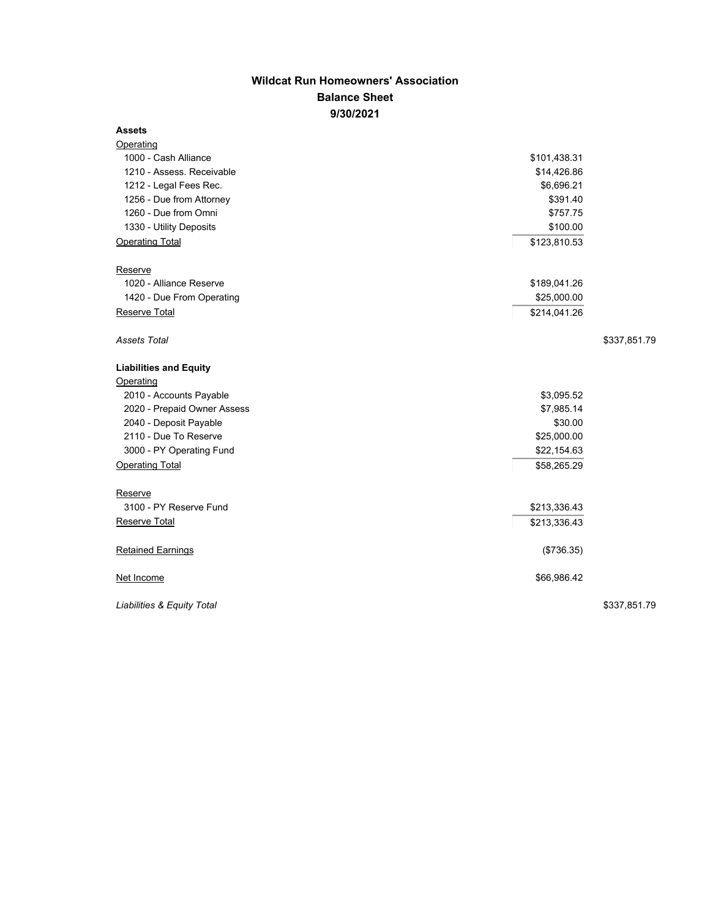## **Wildcat Run Homeowners' Association Balance Sheet 9/30/2021**

## **Assets**

| Operating                     |              |              |
|-------------------------------|--------------|--------------|
| 1000 - Cash Alliance          | \$101,438.31 |              |
| 1210 - Assess. Receivable     | \$14,426.86  |              |
| 1212 - Legal Fees Rec.        | \$6,696.21   |              |
| 1256 - Due from Attorney      | \$391.40     |              |
| 1260 - Due from Omni          | \$757.75     |              |
| 1330 - Utility Deposits       | \$100.00     |              |
| <b>Operating Total</b>        | \$123,810.53 |              |
| Reserve                       |              |              |
| 1020 - Alliance Reserve       | \$189,041.26 |              |
| 1420 - Due From Operating     | \$25,000.00  |              |
| Reserve Total                 | \$214,041.26 |              |
| <b>Assets Total</b>           |              | \$337,851.79 |
| <b>Liabilities and Equity</b> |              |              |
| Operating                     |              |              |
| 2010 - Accounts Payable       | \$3,095.52   |              |
| 2020 - Prepaid Owner Assess   | \$7,985.14   |              |
| 2040 - Deposit Payable        | \$30.00      |              |
| 2110 - Due To Reserve         | \$25,000.00  |              |
| 3000 - PY Operating Fund      | \$22,154.63  |              |
| <b>Operating Total</b>        | \$58,265.29  |              |
| Reserve                       |              |              |
| 3100 - PY Reserve Fund        | \$213,336.43 |              |
| Reserve Total                 | \$213,336.43 |              |
| <b>Retained Earnings</b>      | (\$736.35)   |              |
| Net Income                    | \$66,986.42  |              |
| Liabilities & Equity Total    |              | \$337,851.79 |
|                               |              |              |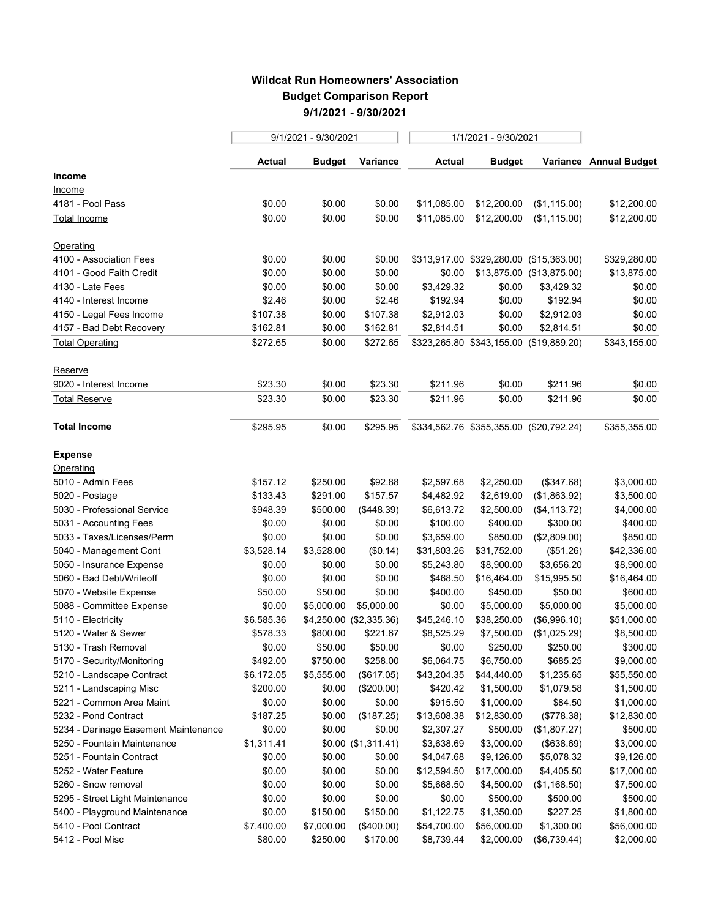## **Wildcat Run Homeowners' Association Budget Comparison Report 9/1/2021 - 9/30/2021**

 $\sim$ 

|                                      | 9/1/2021 - 9/30/2021 |                         |                       | 1/1/2021 - 9/30/2021 |                                         |                           |                        |
|--------------------------------------|----------------------|-------------------------|-----------------------|----------------------|-----------------------------------------|---------------------------|------------------------|
|                                      | <b>Actual</b>        | Budget                  | Variance              | <b>Actual</b>        | <b>Budget</b>                           |                           | Variance Annual Budget |
| Income                               |                      |                         |                       |                      |                                         |                           |                        |
| <u>Income</u>                        |                      |                         |                       |                      |                                         |                           |                        |
| 4181 - Pool Pass                     | \$0.00               | \$0.00                  | \$0.00                | \$11,085.00          | \$12,200.00                             | (\$1,115.00)              | \$12,200.00            |
| Total Income                         | \$0.00               | \$0.00                  | \$0.00                | \$11,085.00          | \$12,200.00                             | (\$1,115.00)              | \$12,200.00            |
| Operating                            |                      |                         |                       |                      |                                         |                           |                        |
| 4100 - Association Fees              | \$0.00               | \$0.00                  | \$0.00                |                      | \$313,917.00 \$329,280.00 (\$15,363.00) |                           | \$329,280.00           |
| 4101 - Good Faith Credit             | \$0.00               | \$0.00                  | \$0.00                | \$0.00               |                                         | \$13,875.00 (\$13,875.00) | \$13,875.00            |
| 4130 - Late Fees                     | \$0.00               | \$0.00                  | \$0.00                | \$3,429.32           | \$0.00                                  | \$3,429.32                | \$0.00                 |
| 4140 - Interest Income               | \$2.46               | \$0.00                  | \$2.46                | \$192.94             | \$0.00                                  | \$192.94                  | \$0.00                 |
| 4150 - Legal Fees Income             | \$107.38             | \$0.00                  | \$107.38              | \$2,912.03           | \$0.00                                  | \$2,912.03                | \$0.00                 |
| 4157 - Bad Debt Recovery             | \$162.81             | \$0.00                  | \$162.81              | \$2,814.51           | \$0.00                                  | \$2,814.51                | \$0.00                 |
| <b>Total Operating</b>               | \$272.65             | \$0.00                  | \$272.65              |                      | \$323,265.80 \$343,155.00 (\$19,889.20) |                           | \$343,155.00           |
| Reserve                              |                      |                         |                       |                      |                                         |                           |                        |
| 9020 - Interest Income               | \$23.30              | \$0.00                  | \$23.30               | \$211.96             | \$0.00                                  | \$211.96                  | \$0.00                 |
| Total Reserve                        | \$23.30              | \$0.00                  | \$23.30               | \$211.96             | \$0.00                                  | \$211.96                  | \$0.00                 |
| <b>Total Income</b>                  | \$295.95             | \$0.00                  | \$295.95              |                      | \$334,562.76 \$355,355.00 (\$20,792.24) |                           | \$355,355.00           |
| <b>Expense</b>                       |                      |                         |                       |                      |                                         |                           |                        |
| Operating                            |                      |                         |                       |                      |                                         |                           |                        |
| 5010 - Admin Fees                    | \$157.12             | \$250.00                | \$92.88               | \$2,597.68           | \$2,250.00                              | (\$347.68)                | \$3,000.00             |
| 5020 - Postage                       | \$133.43             | \$291.00                | \$157.57              | \$4,482.92           | \$2,619.00                              | (\$1,863.92)              | \$3,500.00             |
| 5030 - Professional Service          | \$948.39             | \$500.00                | (\$448.39)            | \$6,613.72           | \$2,500.00                              | (\$4,113.72)              | \$4,000.00             |
| 5031 - Accounting Fees               | \$0.00               | \$0.00                  | \$0.00                | \$100.00             | \$400.00                                | \$300.00                  | \$400.00               |
| 5033 - Taxes/Licenses/Perm           | \$0.00               | \$0.00                  | \$0.00                | \$3,659.00           | \$850.00                                | (\$2,809.00)              | \$850.00               |
| 5040 - Management Cont               | \$3,528.14           | \$3,528.00              | (\$0.14)              | \$31,803.26          | \$31,752.00                             | (\$51.26)                 | \$42,336.00            |
| 5050 - Insurance Expense             | \$0.00               | \$0.00                  | \$0.00                | \$5,243.80           | \$8,900.00                              | \$3,656.20                | \$8,900.00             |
| 5060 - Bad Debt/Writeoff             | \$0.00               | \$0.00                  | \$0.00                | \$468.50             | \$16,464.00                             | \$15,995.50               | \$16,464.00            |
| 5070 - Website Expense               | \$50.00              | \$50.00                 | \$0.00                | \$400.00             | \$450.00                                | \$50.00                   | \$600.00               |
| 5088 - Committee Expense             | \$0.00               | \$5,000.00              | \$5,000.00            | \$0.00               | \$5,000.00                              | \$5,000.00                | \$5,000.00             |
| 5110 - Electricity                   | \$6,585.36           | \$4,250.00 (\$2,335.36) |                       | \$45,246.10          | \$38,250.00                             | (\$6,996.10)              | \$51,000.00            |
| 5120 - Water & Sewer                 | \$578.33             | \$800.00                | \$221.67              | \$8,525.29           | \$7,500.00                              | (\$1,025.29)              | \$8,500.00             |
| 5130 - Trash Removal                 | \$0.00               | \$50.00                 | \$50.00               | \$0.00               | \$250.00                                | \$250.00                  | \$300.00               |
| 5170 - Security/Monitoring           | \$492.00             | \$750.00                | \$258.00              | \$6,064.75           | \$6,750.00                              | \$685.25                  | \$9,000.00             |
| 5210 - Landscape Contract            | \$6,172.05           | \$5,555.00              | (\$617.05)            | \$43,204.35          | \$44,440.00                             | \$1,235.65                | \$55,550.00            |
| 5211 - Landscaping Misc              | \$200.00             | \$0.00                  | (\$200.00)            | \$420.42             | \$1,500.00                              | \$1,079.58                | \$1,500.00             |
| 5221 - Common Area Maint             | \$0.00               | \$0.00                  | \$0.00                | \$915.50             | \$1,000.00                              | \$84.50                   | \$1,000.00             |
| 5232 - Pond Contract                 | \$187.25             | \$0.00                  | (\$187.25)            | \$13,608.38          | \$12,830.00                             | (\$778.38)                | \$12,830.00            |
| 5234 - Darinage Easement Maintenance | \$0.00               | \$0.00                  | \$0.00                | \$2,307.27           | \$500.00                                | (\$1,807.27)              | \$500.00               |
| 5250 - Fountain Maintenance          | \$1,311.41           |                         | $$0.00$ $($1,311.41)$ | \$3,638.69           | \$3,000.00                              | (\$638.69)                | \$3,000.00             |
| 5251 - Fountain Contract             | \$0.00               | \$0.00                  | \$0.00                | \$4,047.68           | \$9,126.00                              | \$5,078.32                | \$9,126.00             |
| 5252 - Water Feature                 | \$0.00               | \$0.00                  | \$0.00                | \$12,594.50          | \$17,000.00                             | \$4,405.50                | \$17,000.00            |
| 5260 - Snow removal                  | \$0.00               | \$0.00                  | \$0.00                | \$5,668.50           | \$4,500.00                              | (\$1,168.50)              | \$7,500.00             |
| 5295 - Street Light Maintenance      | \$0.00               | \$0.00                  | \$0.00                | \$0.00               | \$500.00                                | \$500.00                  | \$500.00               |
| 5400 - Playground Maintenance        | \$0.00               | \$150.00                | \$150.00              | \$1,122.75           | \$1,350.00                              | \$227.25                  | \$1,800.00             |
| 5410 - Pool Contract                 | \$7,400.00           | \$7,000.00              | (\$400.00)            | \$54,700.00          | \$56,000.00                             | \$1,300.00                | \$56,000.00            |
| 5412 - Pool Misc                     | \$80.00              | \$250.00                | \$170.00              | \$8,739.44           | \$2,000.00                              | (\$6,739.44)              | \$2,000.00             |